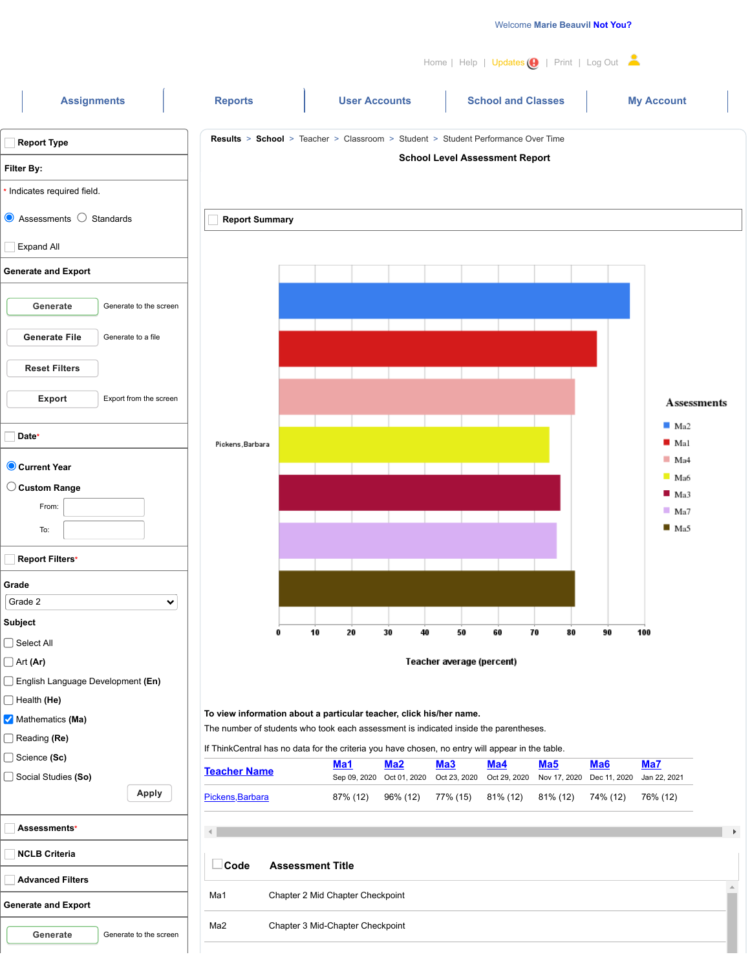/



**Generate** Generate to the screen